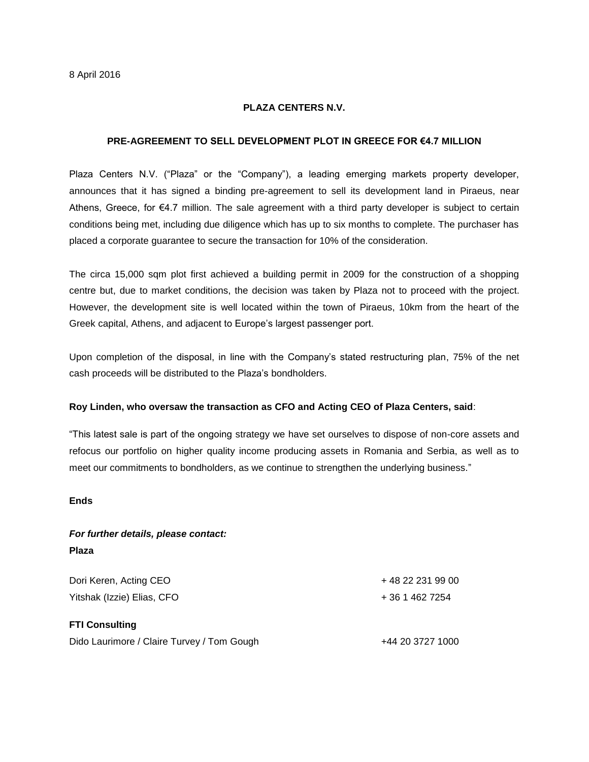## **PLAZA CENTERS N.V.**

### **PRE-AGREEMENT TO SELL DEVELOPMENT PLOT IN GREECE FOR €4.7 MILLION**

Plaza Centers N.V. ("Plaza" or the "Company"), a leading emerging markets property developer, announces that it has signed a binding pre-agreement to sell its development land in Piraeus, near Athens, Greece, for €4.7 million. The sale agreement with a third party developer is subject to certain conditions being met, including due diligence which has up to six months to complete. The purchaser has placed a corporate guarantee to secure the transaction for 10% of the consideration.

The circa 15,000 sqm plot first achieved a building permit in 2009 for the construction of a shopping centre but, due to market conditions, the decision was taken by Plaza not to proceed with the project. However, the development site is well located within the town of Piraeus, 10km from the heart of the Greek capital, Athens, and adjacent to Europe's largest passenger port.

Upon completion of the disposal, in line with the Company's stated restructuring plan, 75% of the net cash proceeds will be distributed to the Plaza's bondholders.

#### **Roy Linden, who oversaw the transaction as CFO and Acting CEO of Plaza Centers, said**:

"This latest sale is part of the ongoing strategy we have set ourselves to dispose of non-core assets and refocus our portfolio on higher quality income producing assets in Romania and Serbia, as well as to meet our commitments to bondholders, as we continue to strengthen the underlying business."

**Ends**

# *For further details, please contact:* **Plaza**

| Dori Keren, Acting CEO                     | + 48 22 231 99 00 |
|--------------------------------------------|-------------------|
| Yitshak (Izzie) Elias, CFO                 | + 36 1 462 7254   |
| <b>FTI Consulting</b>                      |                   |
| Dido Laurimore / Claire Turvey / Tom Gough | +44 20 3727 1000  |